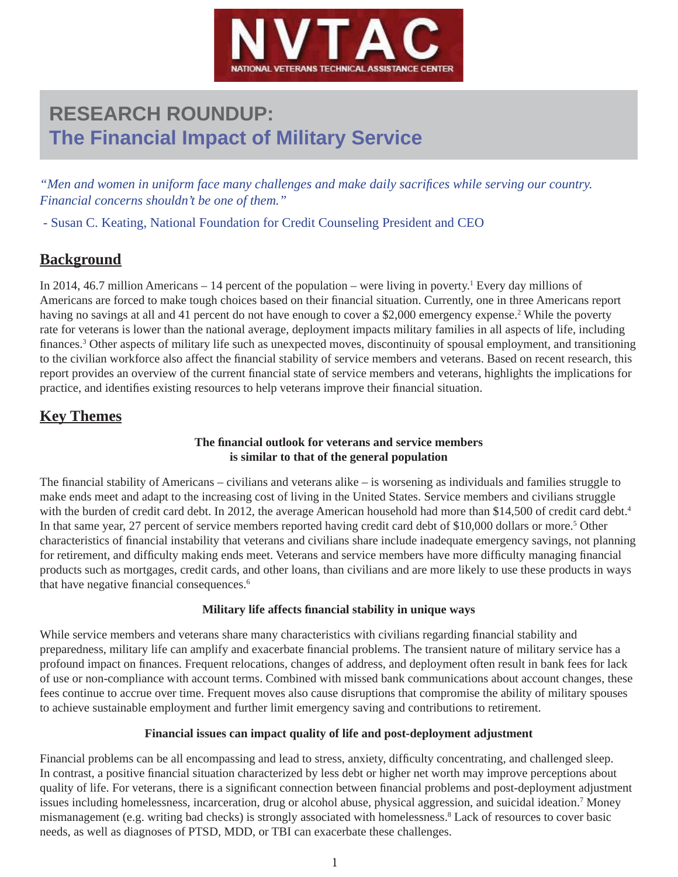

# **RESEARCH ROUNDUP: The Financial Impact of Military Service**

*"Men and women in uniform face many challenges and make daily sacrifices while serving our country. Financial concerns shouldn't be one of them."*

- Susan C. Keating, National Foundation for Credit Counseling President and CEO

# **Background**

In 2014, 46.7 million Americans – 14 percent of the population – were living in poverty.<sup>1</sup> Every day millions of Americans are forced to make tough choices based on their financial situation. Currently, one in three Americans report having no savings at all and 41 percent do not have enough to cover a \$2,000 emergency expense.<sup>2</sup> While the poverty rate for veterans is lower than the national average, deployment impacts military families in all aspects of life, including finances.<sup>3</sup> Other aspects of military life such as unexpected moves, discontinuity of spousal employment, and transitioning to the civilian workforce also affect the financial stability of service members and veterans. Based on recent research, this report provides an overview of the current financial state of service members and veterans, highlights the implications for practice, and identifies existing resources to help veterans improve their financial situation.

# **Key Themes**

#### **The fi nancial outlook for veterans and service members is similar to that of the general population**

The financial stability of Americans – civilians and veterans alike – is worsening as individuals and families struggle to make ends meet and adapt to the increasing cost of living in the United States. Service members and civilians struggle with the burden of credit card debt. In 2012, the average American household had more than \$14,500 of credit card debt.<sup>4</sup> In that same year, 27 percent of service members reported having credit card debt of \$10,000 dollars or more.<sup>5</sup> Other characteristics of financial instability that veterans and civilians share include inadequate emergency savings, not planning for retirement, and difficulty making ends meet. Veterans and service members have more difficulty managing financial products such as mortgages, credit cards, and other loans, than civilians and are more likely to use these products in ways that have negative financial consequences.<sup>6</sup>

#### **Military life affects fi nancial stability in unique ways**

While service members and veterans share many characteristics with civilians regarding financial stability and preparedness, military life can amplify and exacerbate financial problems. The transient nature of military service has a profound impact on finances. Frequent relocations, changes of address, and deployment often result in bank fees for lack of use or non-compliance with account terms. Combined with missed bank communications about account changes, these fees continue to accrue over time. Frequent moves also cause disruptions that compromise the ability of military spouses to achieve sustainable employment and further limit emergency saving and contributions to retirement.

#### **Financial issues can impact quality of life and post-deployment adjustment**

Financial problems can be all encompassing and lead to stress, anxiety, difficulty concentrating, and challenged sleep. In contrast, a positive financial situation characterized by less debt or higher net worth may improve perceptions about quality of life. For veterans, there is a significant connection between financial problems and post-deployment adjustment issues including homelessness, incarceration, drug or alcohol abuse, physical aggression, and suicidal ideation.<sup>7</sup> Money mismanagement (e.g. writing bad checks) is strongly associated with homelessness.<sup>8</sup> Lack of resources to cover basic needs, as well as diagnoses of PTSD, MDD, or TBI can exacerbate these challenges.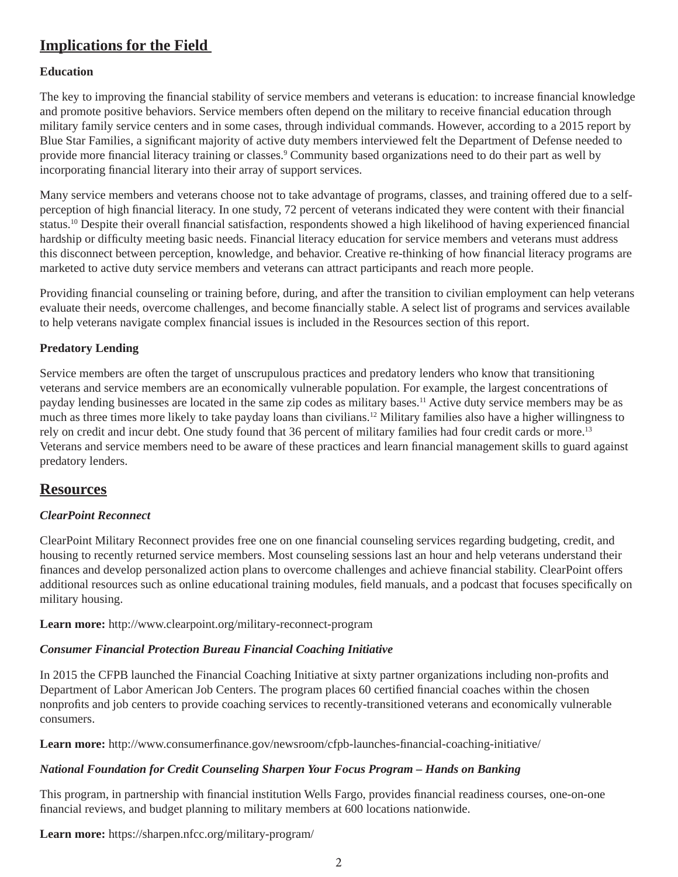# **Implications for the Field**

#### **Education**

The key to improving the financial stability of service members and veterans is education: to increase financial knowledge and promote positive behaviors. Service members often depend on the military to receive financial education through military family service centers and in some cases, through individual commands. However, according to a 2015 report by Blue Star Families, a significant majority of active duty members interviewed felt the Department of Defense needed to provide more financial literacy training or classes.<sup>9</sup> Community based organizations need to do their part as well by incorporating financial literary into their array of support services.

Many service members and veterans choose not to take advantage of programs, classes, and training offered due to a selfperception of high financial literacy. In one study, 72 percent of veterans indicated they were content with their financial status.<sup>10</sup> Despite their overall financial satisfaction, respondents showed a high likelihood of having experienced financial hardship or difficulty meeting basic needs. Financial literacy education for service members and veterans must address this disconnect between perception, knowledge, and behavior. Creative re-thinking of how financial literacy programs are marketed to active duty service members and veterans can attract participants and reach more people.

Providing financial counseling or training before, during, and after the transition to civilian employment can help veterans evaluate their needs, overcome challenges, and become financially stable. A select list of programs and services available to help veterans navigate complex financial issues is included in the Resources section of this report.

#### **Predatory Lending**

Service members are often the target of unscrupulous practices and predatory lenders who know that transitioning veterans and service members are an economically vulnerable population. For example, the largest concentrations of payday lending businesses are located in the same zip codes as military bases.11 Active duty service members may be as much as three times more likely to take payday loans than civilians.<sup>12</sup> Military families also have a higher willingness to rely on credit and incur debt. One study found that 36 percent of military families had four credit cards or more.13 Veterans and service members need to be aware of these practices and learn financial management skills to guard against predatory lenders.

## **Resources**

#### *ClearPoint Reconnect*

ClearPoint Military Reconnect provides free one on one financial counseling services regarding budgeting, credit, and housing to recently returned service members. Most counseling sessions last an hour and help veterans understand their finances and develop personalized action plans to overcome challenges and achieve financial stability. ClearPoint offers additional resources such as online educational training modules, field manuals, and a podcast that focuses specifically on military housing.

**Learn more:** http://www.clearpoint.org/military-reconnect-program

#### *Consumer Financial Protection Bureau Financial Coaching Initiative*

In 2015 the CFPB launched the Financial Coaching Initiative at sixty partner organizations including non-profits and Department of Labor American Job Centers. The program places 60 certified financial coaches within the chosen nonprofits and job centers to provide coaching services to recently-transitioned veterans and economically vulnerable consumers.

**Learn more:** http://www.consumerfinance.gov/newsroom/cfpb-launches-financial-coaching-initiative/

#### *National Foundation for Credit Counseling Sharpen Your Focus Program – Hands on Banking*

This program, in partnership with financial institution Wells Fargo, provides financial readiness courses, one-on-one financial reviews, and budget planning to military members at 600 locations nationwide.

**Learn more:** https://sharpen.nfcc.org/military-program/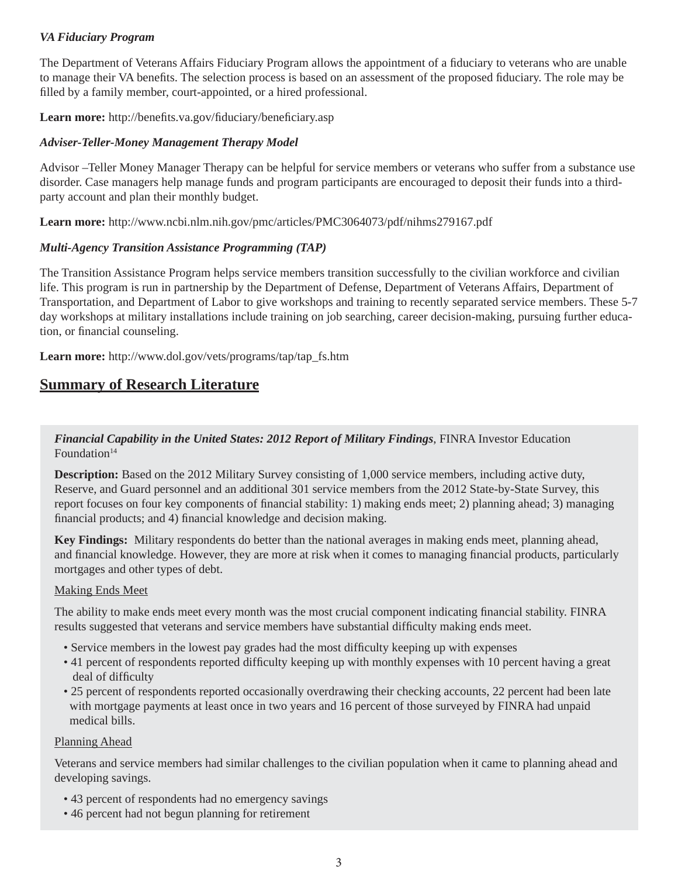#### *VA Fiduciary Program*

The Department of Veterans Affairs Fiduciary Program allows the appointment of a fiduciary to veterans who are unable to manage their VA benefits. The selection process is based on an assessment of the proposed fiduciary. The role may be filled by a family member, court-appointed, or a hired professional.

Learn more: http://benefits.va.gov/fiduciary/beneficiary.asp

#### *Adviser-Teller-Money Management Therapy Model*

Advisor –Teller Money Manager Therapy can be helpful for service members or veterans who suffer from a substance use disorder. Case managers help manage funds and program participants are encouraged to deposit their funds into a thirdparty account and plan their monthly budget.

**Learn more:** http://www.ncbi.nlm.nih.gov/pmc/articles/PMC3064073/pdf/nihms279167.pdf

#### *Multi-Agency Transition Assistance Programming (TAP)*

The Transition Assistance Program helps service members transition successfully to the civilian workforce and civilian life. This program is run in partnership by the Department of Defense, Department of Veterans Affairs, Department of Transportation, and Department of Labor to give workshops and training to recently separated service members. These 5-7 day workshops at military installations include training on job searching, career decision-making, pursuing further education, or financial counseling.

**Learn more:** http://www.dol.gov/vets/programs/tap/tap\_fs.htm

## **Summary of Research Literature**

#### *Financial Capability in the United States: 2012 Report of Military Findings*, FINRA Investor Education  $F$ oundation<sup>14</sup>

**Description:** Based on the 2012 Military Survey consisting of 1,000 service members, including active duty, Reserve, and Guard personnel and an additional 301 service members from the 2012 State-by-State Survey, this report focuses on four key components of financial stability: 1) making ends meet; 2) planning ahead; 3) managing financial products; and 4) financial knowledge and decision making.

**Key Findings:** Military respondents do better than the national averages in making ends meet, planning ahead, and financial knowledge. However, they are more at risk when it comes to managing financial products, particularly mortgages and other types of debt.

#### Making Ends Meet

The ability to make ends meet every month was the most crucial component indicating financial stability. FINRA results suggested that veterans and service members have substantial difficulty making ends meet.

- Service members in the lowest pay grades had the most difficulty keeping up with expenses
- 41 percent of respondents reported difficulty keeping up with monthly expenses with 10 percent having a great deal of difficulty
- 25 percent of respondents reported occasionally overdrawing their checking accounts, 22 percent had been late with mortgage payments at least once in two years and 16 percent of those surveyed by FINRA had unpaid medical bills.

#### Planning Ahead

Veterans and service members had similar challenges to the civilian population when it came to planning ahead and developing savings.

- 43 percent of respondents had no emergency savings
- 46 percent had not begun planning for retirement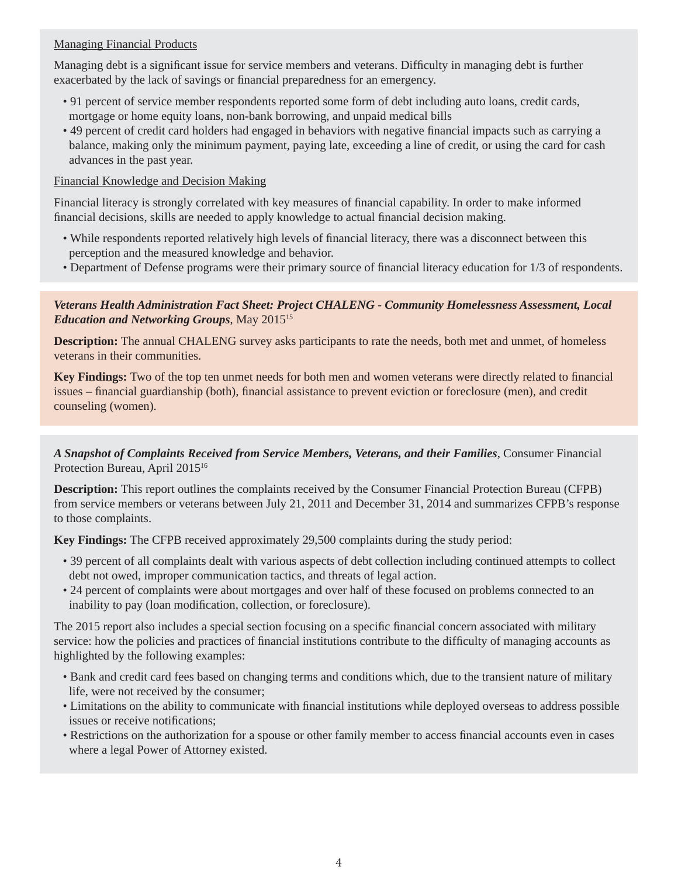#### Managing Financial Products

Managing debt is a significant issue for service members and veterans. Difficulty in managing debt is further exacerbated by the lack of savings or financial preparedness for an emergency.

- 91 percent of service member respondents reported some form of debt including auto loans, credit cards, mortgage or home equity loans, non-bank borrowing, and unpaid medical bills
- 49 percent of credit card holders had engaged in behaviors with negative financial impacts such as carrying a balance, making only the minimum payment, paying late, exceeding a line of credit, or using the card for cash advances in the past year.

#### Financial Knowledge and Decision Making

Financial literacy is strongly correlated with key measures of financial capability. In order to make informed financial decisions, skills are needed to apply knowledge to actual financial decision making.

- While respondents reported relatively high levels of financial literacy, there was a disconnect between this perception and the measured knowledge and behavior.
- Department of Defense programs were their primary source of financial literacy education for 1/3 of respondents.

#### *Veterans Health Administration Fact Sheet: Project CHALENG - Community Homelessness Assessment, Local Education and Networking Groups*, May 201515

**Description:** The annual CHALENG survey asks participants to rate the needs, both met and unmet, of homeless veterans in their communities.

**Key Findings:** Two of the top ten unmet needs for both men and women veterans were directly related to financial issues – financial guardianship (both), financial assistance to prevent eviction or foreclosure (men), and credit counseling (women).

*A Snapshot of Complaints Received from Service Members, Veterans, and their Families*, Consumer Financial Protection Bureau, April 2015<sup>16</sup>

**Description:** This report outlines the complaints received by the Consumer Financial Protection Bureau (CFPB) from service members or veterans between July 21, 2011 and December 31, 2014 and summarizes CFPB's response to those complaints.

**Key Findings:** The CFPB received approximately 29,500 complaints during the study period:

- 39 percent of all complaints dealt with various aspects of debt collection including continued attempts to collect debt not owed, improper communication tactics, and threats of legal action.
- 24 percent of complaints were about mortgages and over half of these focused on problems connected to an inability to pay (loan modification, collection, or foreclosure).

The 2015 report also includes a special section focusing on a specific financial concern associated with military service: how the policies and practices of financial institutions contribute to the difficulty of managing accounts as highlighted by the following examples:

- Bank and credit card fees based on changing terms and conditions which, due to the transient nature of military life, were not received by the consumer;
- Limitations on the ability to communicate with financial institutions while deployed overseas to address possible issues or receive notifications;
- Restrictions on the authorization for a spouse or other family member to access financial accounts even in cases where a legal Power of Attorney existed.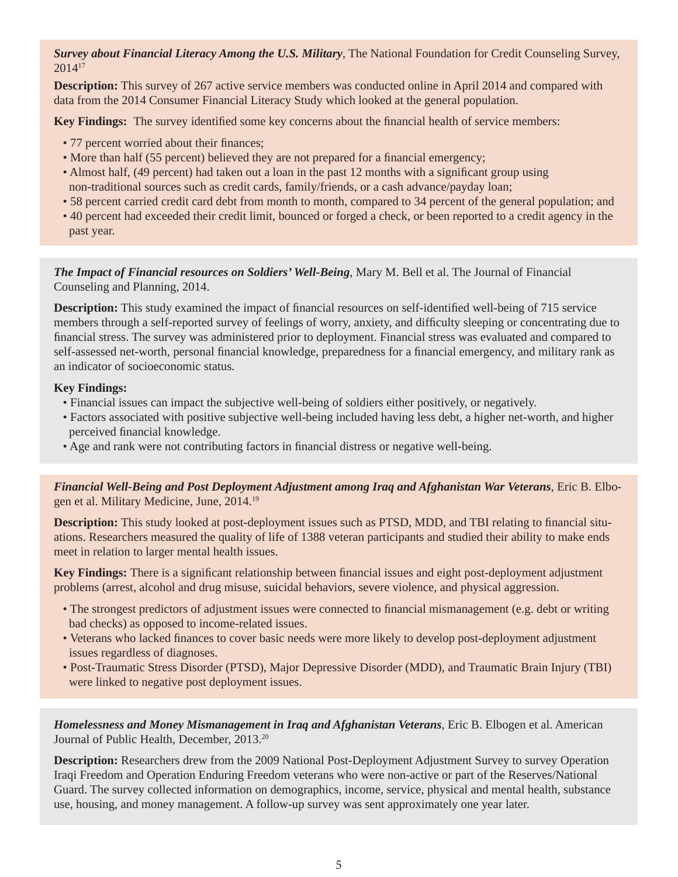*Survey about Financial Literacy Among the U.S. Military*, The National Foundation for Credit Counseling Survey, 201417

**Description:** This survey of 267 active service members was conducted online in April 2014 and compared with data from the 2014 Consumer Financial Literacy Study which looked at the general population.

**Key Findings:** The survey identified some key concerns about the financial health of service members:

- 77 percent worried about their finances;
- More than half (55 percent) believed they are not prepared for a financial emergency;
- Almost half, (49 percent) had taken out a loan in the past 12 months with a significant group using non-traditional sources such as credit cards, family/friends, or a cash advance/payday loan;
- 58 percent carried credit card debt from month to month, compared to 34 percent of the general population; and
- 40 percent had exceeded their credit limit, bounced or forged a check, or been reported to a credit agency in the past year.

*The Impact of Financial resources on Soldiers' Well-Being*, Mary M. Bell et al. The Journal of Financial Counseling and Planning, 2014.

**Description:** This study examined the impact of financial resources on self-identified well-being of 715 service members through a self-reported survey of feelings of worry, anxiety, and difficulty sleeping or concentrating due to financial stress. The survey was administered prior to deployment. Financial stress was evaluated and compared to self-assessed net-worth, personal financial knowledge, preparedness for a financial emergency, and military rank as an indicator of socioeconomic status.

#### **Key Findings:**

- Financial issues can impact the subjective well-being of soldiers either positively, or negatively.
- Factors associated with positive subjective well-being included having less debt, a higher net-worth, and higher perceived financial knowledge.
- Age and rank were not contributing factors in financial distress or negative well-being.

*Financial Well-Being and Post Deployment Adjustment among Iraq and Afghanistan War Veterans*, Eric B. Elbogen et al. Military Medicine, June, 2014.19

**Description:** This study looked at post-deployment issues such as PTSD, MDD, and TBI relating to financial situations. Researchers measured the quality of life of 1388 veteran participants and studied their ability to make ends meet in relation to larger mental health issues.

**Key Findings:** There is a significant relationship between financial issues and eight post-deployment adjustment problems (arrest, alcohol and drug misuse, suicidal behaviors, severe violence, and physical aggression.

- The strongest predictors of adjustment issues were connected to financial mismanagement (e.g. debt or writing bad checks) as opposed to income-related issues.
- Veterans who lacked finances to cover basic needs were more likely to develop post-deployment adjustment issues regardless of diagnoses.
- Post-Traumatic Stress Disorder (PTSD), Major Depressive Disorder (MDD), and Traumatic Brain Injury (TBI) were linked to negative post deployment issues.

*Homelessness and Money Mismanagement in Iraq and Afghanistan Veterans*, Eric B. Elbogen et al. American Journal of Public Health, December, 2013.20

**Description:** Researchers drew from the 2009 National Post-Deployment Adjustment Survey to survey Operation Iraqi Freedom and Operation Enduring Freedom veterans who were non-active or part of the Reserves/National Guard. The survey collected information on demographics, income, service, physical and mental health, substance use, housing, and money management. A follow-up survey was sent approximately one year later.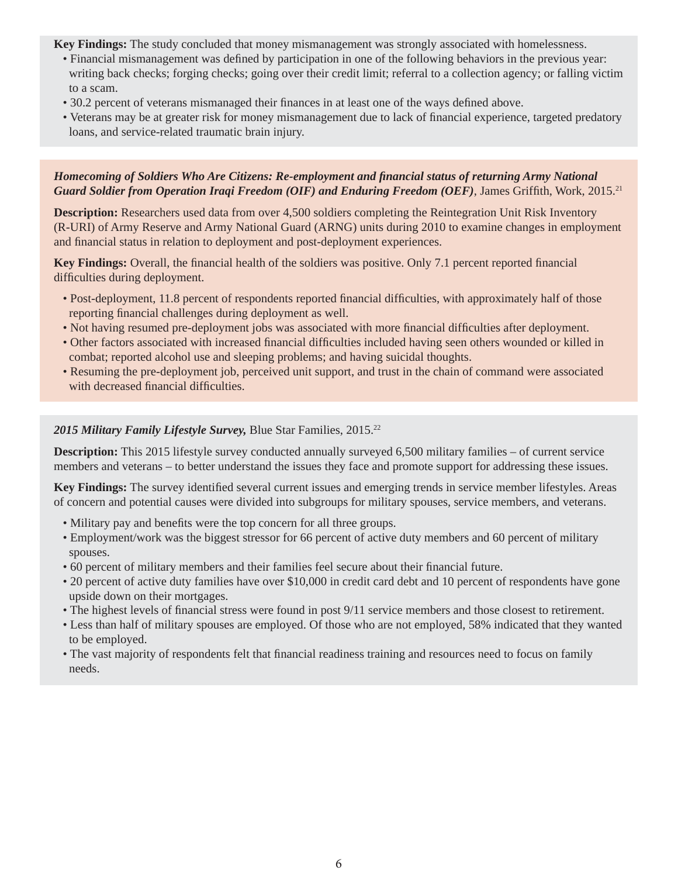**Key Findings:** The study concluded that money mismanagement was strongly associated with homelessness.

- Financial mismanagement was defined by participation in one of the following behaviors in the previous year: writing back checks; forging checks; going over their credit limit; referral to a collection agency; or falling victim to a scam.
- 30.2 percent of veterans mismanaged their finances in at least one of the ways defined above.
- Veterans may be at greater risk for money mismanagement due to lack of financial experience, targeted predatory loans, and service-related traumatic brain injury.

#### *Homecoming of Soldiers Who Are Citizens: Re-employment and financial status of returning Army National Guard Soldier from Operation Iraqi Freedom (OIF) and Enduring Freedom (OEF)*, James Griffith, Work, 2015.<sup>21</sup>

**Description:** Researchers used data from over 4,500 soldiers completing the Reintegration Unit Risk Inventory (R-URI) of Army Reserve and Army National Guard (ARNG) units during 2010 to examine changes in employment and financial status in relation to deployment and post-deployment experiences.

**Key Findings:** Overall, the financial health of the soldiers was positive. Only 7.1 percent reported financial difficulties during deployment.

- Post-deployment, 11.8 percent of respondents reported financial difficulties, with approximately half of those reporting financial challenges during deployment as well.
- Not having resumed pre-deployment jobs was associated with more financial difficulties after deployment.
- Other factors associated with increased financial difficulties included having seen others wounded or killed in combat; reported alcohol use and sleeping problems; and having suicidal thoughts.
- Resuming the pre-deployment job, perceived unit support, and trust in the chain of command were associated with decreased financial difficulties.

#### 2015 Military Family Lifestyle Survey, Blue Star Families, 2015.<sup>22</sup>

**Description:** This 2015 lifestyle survey conducted annually surveyed 6,500 military families – of current service members and veterans – to better understand the issues they face and promote support for addressing these issues.

**Key Findings:** The survey identified several current issues and emerging trends in service member lifestyles. Areas of concern and potential causes were divided into subgroups for military spouses, service members, and veterans.

- Military pay and benefits were the top concern for all three groups.
- Employment/work was the biggest stressor for 66 percent of active duty members and 60 percent of military spouses.
- 60 percent of military members and their families feel secure about their financial future.
- 20 percent of active duty families have over \$10,000 in credit card debt and 10 percent of respondents have gone upside down on their mortgages.
- The highest levels of financial stress were found in post  $9/11$  service members and those closest to retirement.
- Less than half of military spouses are employed. Of those who are not employed, 58% indicated that they wanted to be employed.
- The vast majority of respondents felt that financial readiness training and resources need to focus on family needs.